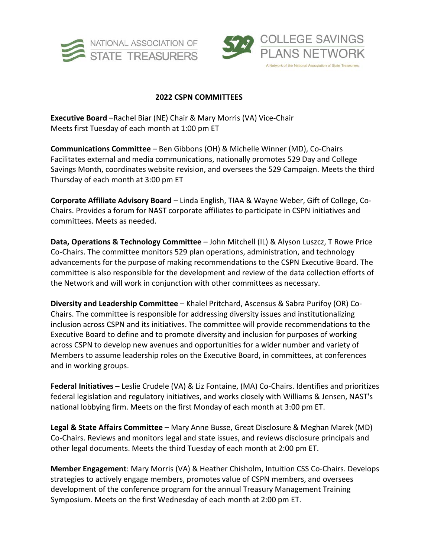



## **2022 CSPN COMMITTEES**

**Executive Board** –Rachel Biar (NE) Chair & Mary Morris (VA) Vice-Chair Meets first Tuesday of each month at 1:00 pm ET

**Communications Committee** – Ben Gibbons (OH) & Michelle Winner (MD), Co-Chairs Facilitates external and media communications, nationally promotes 529 Day and College Savings Month, coordinates website revision, and oversees the 529 Campaign. Meets the third Thursday of each month at 3:00 pm ET

**Corporate Affiliate Advisory Board** – Linda English, TIAA & Wayne Weber, Gift of College, Co-Chairs. Provides a forum for NAST corporate affiliates to participate in CSPN initiatives and committees. Meets as needed.

**Data, Operations & Technology Committee** – John Mitchell (IL) & Alyson Luszcz, T Rowe Price Co-Chairs. The committee monitors 529 plan operations, administration, and technology advancements for the purpose of making recommendations to the CSPN Executive Board. The committee is also responsible for the development and review of the data collection efforts of the Network and will work in conjunction with other committees as necessary.

**Diversity and Leadership Committee** – Khalel Pritchard, Ascensus & Sabra Purifoy (OR) Co-Chairs. The committee is responsible for addressing diversity issues and institutionalizing inclusion across CSPN and its initiatives. The committee will provide recommendations to the Executive Board to define and to promote diversity and inclusion for purposes of working across CSPN to develop new avenues and opportunities for a wider number and variety of Members to assume leadership roles on the Executive Board, in committees, at conferences and in working groups.

**Federal Initiatives –** Leslie Crudele (VA) & Liz Fontaine, (MA) Co-Chairs. Identifies and prioritizes federal legislation and regulatory initiatives, and works closely with Williams & Jensen, NAST's national lobbying firm. Meets on the first Monday of each month at 3:00 pm ET.

**Legal & State Affairs Committee –** Mary Anne Busse, Great Disclosure & Meghan Marek (MD) Co-Chairs. Reviews and monitors legal and state issues, and reviews disclosure principals and other legal documents. Meets the third Tuesday of each month at 2:00 pm ET.

**Member Engagement**: Mary Morris (VA) & Heather Chisholm, Intuition CSS Co-Chairs. Develops strategies to actively engage members, promotes value of CSPN members, and oversees development of the conference program for the annual Treasury Management Training Symposium. Meets on the first Wednesday of each month at 2:00 pm ET.